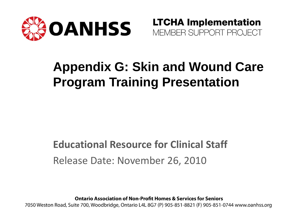

**LTCHA Implementation** MEMBER SUPPORT PROJECT

### **Appendix G: Skin and Wound Care Program Training Presentation**

#### **Educational Resource for Clinical Staff** Release Date: November 26, 2010

**Ontario Association of Non-Profit Homes & Services for Seniors** 

7050 Weston Road, Suite 700, Woodbridge, Ontario L4L 8G7 (P) 905-851-8821 (F) 905-851-0744 www.oanhss.org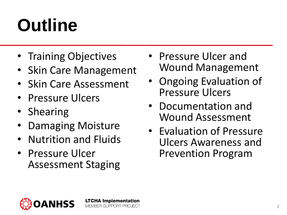# **Outline**

- Training Objectives
- Skin Care Management
- Skin Care Assessment
- Pressure Ulcers
- Shearing
- Damaging Moisture
- Nutrition and Fluids
- Pressure Ulcer Assessment Staging
- Pressure Ulcer and Wound Management
- Ongoing Evaluation of Pressure Ulcers
- Documentation and Wound Assessment
- Evaluation of Pressure Ulcers Awareness and Prevention Program

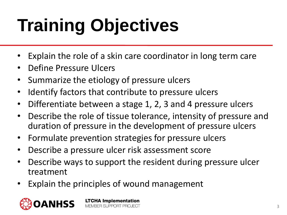# **Training Objectives**

- Explain the role of a skin care coordinator in long term care
- Define Pressure Ulcers
- Summarize the etiology of pressure ulcers
- Identify factors that contribute to pressure ulcers
- Differentiate between a stage 1, 2, 3 and 4 pressure ulcers
- Describe the role of tissue tolerance, intensity of pressure and duration of pressure in the development of pressure ulcers
- Formulate prevention strategies for pressure ulcers
- Describe a pressure ulcer risk assessment score
- Describe ways to support the resident during pressure ulcer treatment
- Explain the principles of wound management

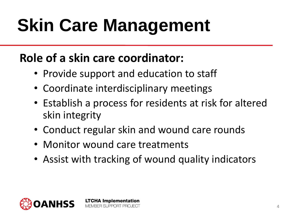# **Skin Care Management**

### **Role of a skin care coordinator:**

- Provide support and education to staff
- Coordinate interdisciplinary meetings
- Establish a process for residents at risk for altered skin integrity
- Conduct regular skin and wound care rounds
- Monitor wound care treatments

**LTCHA Implementation** BER SLIPPORT PROJECT

• Assist with tracking of wound quality indicators

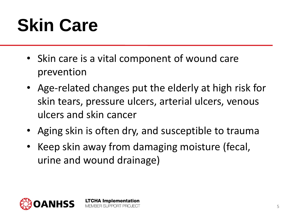# **Skin Care**

- Skin care is a vital component of wound care prevention
- Age-related changes put the elderly at high risk for skin tears, pressure ulcers, arterial ulcers, venous ulcers and skin cancer
- Aging skin is often dry, and susceptible to trauma
- Keep skin away from damaging moisture (fecal, urine and wound drainage)

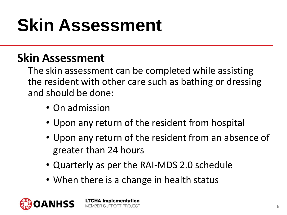## **Skin Assessment**

#### **Skin Assessment**

The skin assessment can be completed while assisting the resident with other care such as bathing or dressing and should be done:

- On admission
- Upon any return of the resident from hospital
- Upon any return of the resident from an absence of greater than 24 hours
- Quarterly as per the RAI-MDS 2.0 schedule
- When there is a change in health status

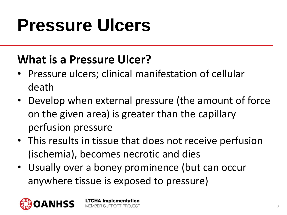## **Pressure Ulcers**

#### **What is a Pressure Ulcer?**

- Pressure ulcers; clinical manifestation of cellular death
- Develop when external pressure (the amount of force on the given area) is greater than the capillary perfusion pressure
- This results in tissue that does not receive perfusion (ischemia), becomes necrotic and dies
- Usually over a boney prominence (but can occur anywhere tissue is exposed to pressure)

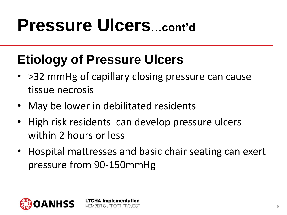### **Etiology of Pressure Ulcers**

- > 32 mmHg of capillary closing pressure can cause tissue necrosis
- May be lower in debilitated residents

- High risk residents can develop pressure ulcers within 2 hours or less
- Hospital mattresses and basic chair seating can exert pressure from 90-150mmHg

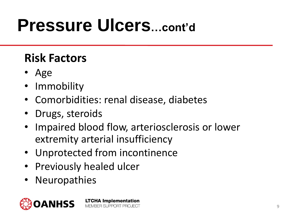### **Risk Factors**

- Age
- Immobility
- Comorbidities: renal disease, diabetes
- Drugs, steroids
- Impaired blood flow, arteriosclerosis or lower extremity arterial insufficiency
- Unprotected from incontinence
- Previously healed ulcer
- Neuropathies

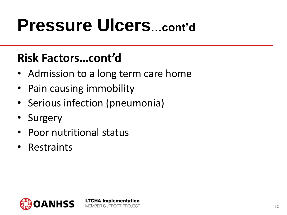#### **Risk Factors…cont'd**

• Admission to a long term care home

- Pain causing immobility
- Serious infection (pneumonia)
- **Surgery**
- Poor nutritional status
- Restraints

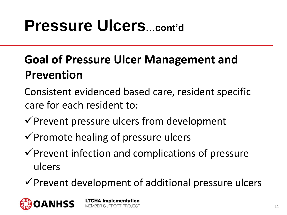### **Goal of Pressure Ulcer Management and Prevention**

- Consistent evidenced based care, resident specific care for each resident to:
- $\checkmark$  Prevent pressure ulcers from development
- $\checkmark$  Promote healing of pressure ulcers

**LTCHA Implementation** 

MEMBER SLIPPORT PROJECT

- $\checkmark$  Prevent infection and complications of pressure ulcers
- $\checkmark$  Prevent development of additional pressure ulcers

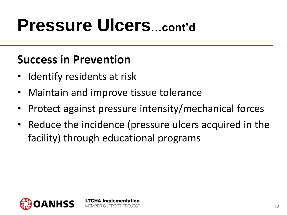#### **Success in Prevention**

- Identify residents at risk
- Maintain and improve tissue tolerance

**LTCHA Implementation** RER SI IPPORT PRO IFCT

- Protect against pressure intensity/mechanical forces
- Reduce the incidence (pressure ulcers acquired in the facility) through educational programs

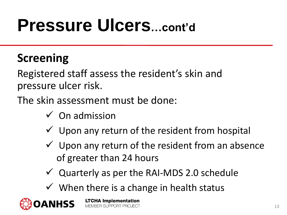#### **Screening**

Registered staff assess the resident's skin and pressure ulcer risk.

The skin assessment must be done:

- $\checkmark$  On admission
- $\checkmark$  Upon any return of the resident from hospital
- $\checkmark$  Upon any return of the resident from an absence of greater than 24 hours
- $\checkmark$  Quarterly as per the RAI-MDS 2.0 schedule
- $\checkmark$  When there is a change in health status

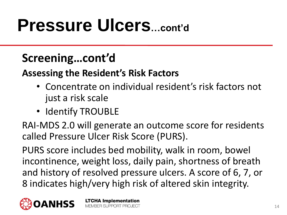#### **Screening…cont'd**

#### **Assessing the Resident's Risk Factors**

- Concentrate on individual resident's risk factors not just a risk scale
- Identify TROUBLE

RAI-MDS 2.0 will generate an outcome score for residents called Pressure Ulcer Risk Score (PURS).

PURS score includes bed mobility, walk in room, bowel incontinence, weight loss, daily pain, shortness of breath and history of resolved pressure ulcers. A score of 6, 7, or 8 indicates high/very high risk of altered skin integrity.

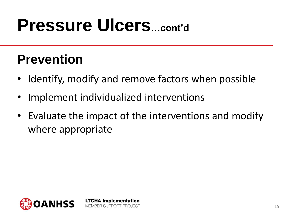### **Prevention**

- Identify, modify and remove factors when possible
- Implement individualized interventions

**LTCHA Implementation** MEMBER SUPPORT PROJECT

• Evaluate the impact of the interventions and modify where appropriate

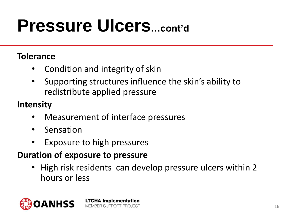#### **Tolerance**

- Condition and integrity of skin
- Supporting structures influence the skin's ability to redistribute applied pressure

#### **Intensity**

• Measurement of interface pressures

**LTCHA Implementation** MEMBER SUPPORT PROJECT

- Sensation
- Exposure to high pressures

#### **Duration of exposure to pressure**

• High risk residents can develop pressure ulcers within 2 hours or less

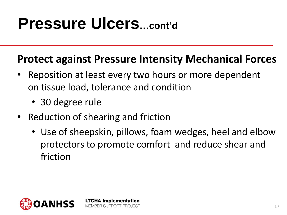#### **Protect against Pressure Intensity Mechanical Forces**

- Reposition at least every two hours or more dependent on tissue load, tolerance and condition
	- 30 degree rule
- Reduction of shearing and friction

**LTCHA Implementation** MEMBER SLIPPORT PROJECT

• Use of sheepskin, pillows, foam wedges, heel and elbow protectors to promote comfort and reduce shear and friction

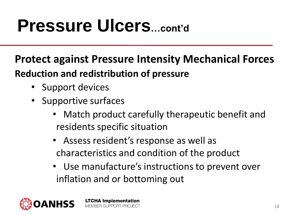**LTCHA Implementation** MEMBER SLIPPORT PROJECT

#### **Protect against Pressure Intensity Mechanical Forces Reduction and redistribution of pressure**

- Support devices
- Supportive surfaces
	- Match product carefully therapeutic benefit and residents specific situation
	- Assess resident's response as well as characteristics and condition of the product
	- Use manufacture's instructions to prevent over inflation and or bottoming out

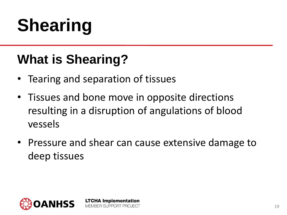# **Shearing**

### **What is Shearing?**

- Tearing and separation of tissues
- Tissues and bone move in opposite directions resulting in a disruption of angulations of blood vessels
- Pressure and shear can cause extensive damage to deep tissues

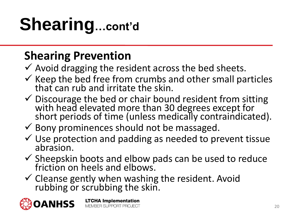# **Shearing…cont'd**

### **Shearing Prevention**

- $\checkmark$  Avoid dragging the resident across the bed sheets.
- $\checkmark$  Keep the bed free from crumbs and other small particles that can rub and irritate the skin.
- $\checkmark$  Discourage the bed or chair bound resident from sitting with head elevated more than 30 degrees except for short periods of time (unless medically contraindicated).
- $\checkmark$  Bony prominences should not be massaged.
- $\checkmark$  Use protection and padding as needed to prevent tissue abrasion.
- $\checkmark$  Sheepskin boots and elbow pads can be used to reduce friction on heels and elbows.
- $\checkmark$  Cleanse gently when washing the resident. Avoid rubbing or scrubbing the skin.

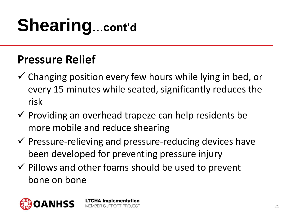# **Shearing…cont'd**

#### **Pressure Relief**

- $\checkmark$  Changing position every few hours while lying in bed, or every 15 minutes while seated, significantly reduces the risk
- $\checkmark$  Providing an overhead trapeze can help residents be more mobile and reduce shearing
- $\checkmark$  Pressure-relieving and pressure-reducing devices have been developed for preventing pressure injury
- $\checkmark$  Pillows and other foams should be used to prevent bone on bone

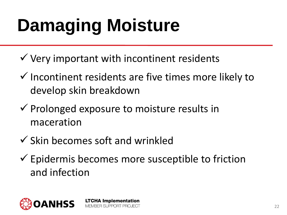# **Damaging Moisture**

- $\checkmark$  Very important with incontinent residents
- $\checkmark$  Incontinent residents are five times more likely to develop skin breakdown
- $\checkmark$  Prolonged exposure to moisture results in maceration

- $\checkmark$  Skin becomes soft and wrinkled
- $\checkmark$  Epidermis becomes more susceptible to friction and infection

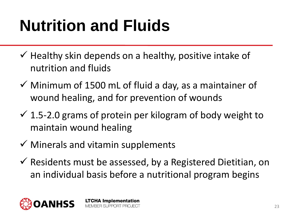## **Nutrition and Fluids**

- $\checkmark$  Healthy skin depends on a healthy, positive intake of nutrition and fluids
- $\checkmark$  Minimum of 1500 mL of fluid a day, as a maintainer of wound healing, and for prevention of wounds
- $\checkmark$  1.5-2.0 grams of protein per kilogram of body weight to maintain wound healing
- $\checkmark$  Minerals and vitamin supplements

**LTCHA Implementation** MEMBER SUPPORT PROJECT

 $\checkmark$  Residents must be assessed, by a Registered Dietitian, on an individual basis before a nutritional program begins

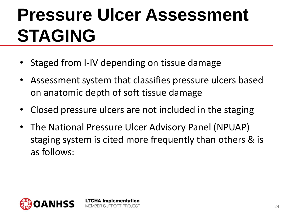• Staged from I-IV depending on tissue damage

- Assessment system that classifies pressure ulcers based on anatomic depth of soft tissue damage
- Closed pressure ulcers are not included in the staging
- The National Pressure Ulcer Advisory Panel (NPUAP) staging system is cited more frequently than others & is as follows:

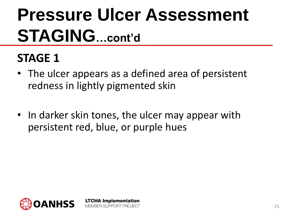### **STAGE 1**

- The ulcer appears as a defined area of persistent redness in lightly pigmented skin
- In darker skin tones, the ulcer may appear with persistent red, blue, or purple hues

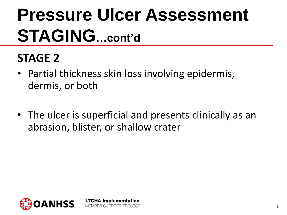### **STAGE 2**

• Partial thickness skin loss involving epidermis, dermis, or both

> **LTCHA Implementation** MEMBER SUPPORT PROJECT

• The ulcer is superficial and presents clinically as an abrasion, blister, or shallow crater

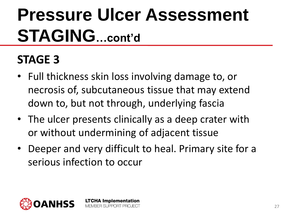### **STAGE 3**

- Full thickness skin loss involving damage to, or necrosis of, subcutaneous tissue that may extend down to, but not through, underlying fascia
- The ulcer presents clinically as a deep crater with or without undermining of adjacent tissue
- Deeper and very difficult to heal. Primary site for a serious infection to occur

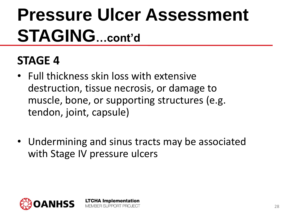### **STAGE 4**

• Full thickness skin loss with extensive destruction, tissue necrosis, or damage to muscle, bone, or supporting structures (e.g. tendon, joint, capsule)

> **LTCHA Implementation** MEMBER SUPPORT PROJECT

• Undermining and sinus tracts may be associated with Stage IV pressure ulcers

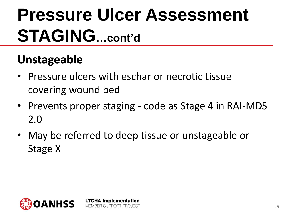### **Unstageable**

- Pressure ulcers with eschar or necrotic tissue covering wound bed
- Prevents proper staging code as Stage 4 in RAI-MDS 2.0
- May be referred to deep tissue or unstageable or Stage X

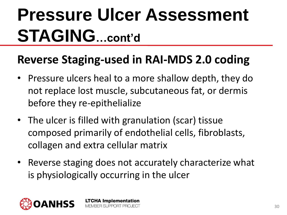#### **Reverse Staging-used in RAI-MDS 2.0 coding**

- Pressure ulcers heal to a more shallow depth, they do not replace lost muscle, subcutaneous fat, or dermis before they re-epithelialize
- The ulcer is filled with granulation (scar) tissue composed primarily of endothelial cells, fibroblasts, collagen and extra cellular matrix
- Reverse staging does not accurately characterize what is physiologically occurring in the ulcer

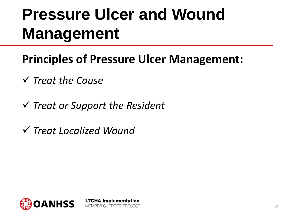### **Pressure Ulcer and Wound Management**

- **Principles of Pressure Ulcer Management:**
- *Treat the Cause*
- *Treat or Support the Resident*

**LTCHA Implementation** 

MEMBER SUPPORT PROJECT

*Treat Localized Wound* 

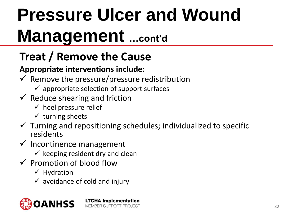### **Treat / Remove the Cause**

#### **Appropriate interventions include:**

 $\checkmark$  Remove the pressure/pressure redistribution

- $\checkmark$  appropriate selection of support surfaces
- $\checkmark$  Reduce shearing and friction
	- $\checkmark$  heel pressure relief
	- $\checkmark$  turning sheets
- $\checkmark$  Turning and repositioning schedules; individualized to specific residents
- $\checkmark$  Incontinence management
	- $\checkmark$  keeping resident dry and clean
- $\checkmark$  Promotion of blood flow
	- $\checkmark$  Hydration
	- $\checkmark$  avoidance of cold and injury

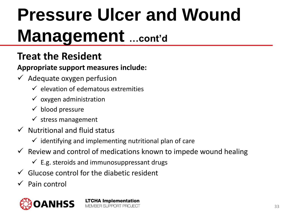#### **Treat the Resident**

**Appropriate support measures include:**

- $\checkmark$  Adequate oxygen perfusion
	- $\checkmark$  elevation of edematous extremities
	- $\checkmark$  oxygen administration
	- $\checkmark$  blood pressure
	- $\checkmark$  stress management
- $\checkmark$  Nutritional and fluid status
	- $\checkmark$  identifying and implementing nutritional plan of care

**LTCHA Implementation** MEMBER SUPPORT PROJECT

- $\checkmark$  Review and control of medications known to impede wound healing
	- $\checkmark$  E.g. steroids and immunosuppressant drugs
- $\checkmark$  Glucose control for the diabetic resident
- $\checkmark$  Pain control



33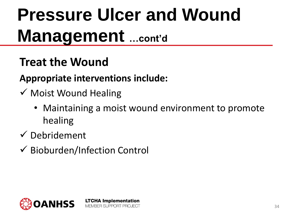### **Treat the Wound**

#### **Appropriate interventions include:**

- $\checkmark$  Moist Wound Healing
	- Maintaining a moist wound environment to promote healing
- $\checkmark$  Debridement
- Bioburden/Infection Control

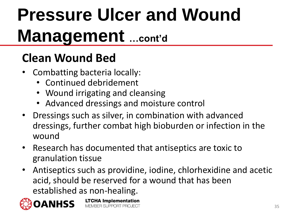### **Clean Wound Bed**

- Combatting bacteria locally:
	- Continued debridement
	- Wound irrigating and cleansing
	- Advanced dressings and moisture control

**LTCHA Implementation** 

MEMBER SUPPORT PROJECT

- Dressings such as silver, in combination with advanced dressings, further combat high bioburden or infection in the wound
- Research has documented that antiseptics are toxic to granulation tissue
- Antiseptics such as providine, iodine, chlorhexidine and acetic acid, should be reserved for a wound that has been established as non-healing.

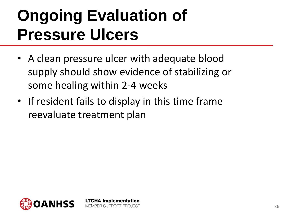### **Ongoing Evaluation of Pressure Ulcers**

- A clean pressure ulcer with adequate blood supply should show evidence of stabilizing or some healing within 2-4 weeks
- If resident fails to display in this time frame reevaluate treatment plan

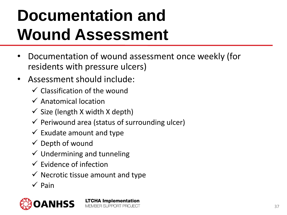## **Documentation and Wound Assessment**

- Documentation of wound assessment once weekly (for residents with pressure ulcers)
- Assessment should include:
	- $\checkmark$  Classification of the wound
	- $\checkmark$  Anatomical location
	- $\checkmark$  Size (length X width X depth)
	- $\checkmark$  Periwound area (status of surrounding ulcer)

- $\checkmark$  Exudate amount and type
- $\checkmark$  Depth of wound
- $\checkmark$  Undermining and tunneling
- $\checkmark$  Evidence of infection
- $\checkmark$  Necrotic tissue amount and type
- $\checkmark$  Pain